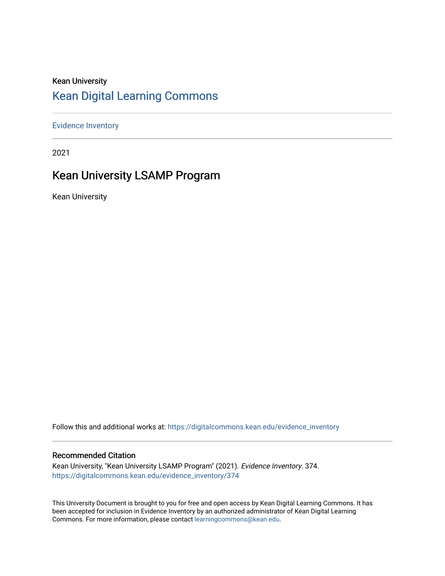## Kean University [Kean Digital Learning Commons](https://digitalcommons.kean.edu/)

[Evidence Inventory](https://digitalcommons.kean.edu/evidence_inventory) 

2021

## Kean University LSAMP Program

Kean University

Follow this and additional works at: [https://digitalcommons.kean.edu/evidence\\_inventory](https://digitalcommons.kean.edu/evidence_inventory?utm_source=digitalcommons.kean.edu%2Fevidence_inventory%2F374&utm_medium=PDF&utm_campaign=PDFCoverPages)

#### Recommended Citation

Kean University, "Kean University LSAMP Program" (2021). Evidence Inventory. 374. [https://digitalcommons.kean.edu/evidence\\_inventory/374](https://digitalcommons.kean.edu/evidence_inventory/374?utm_source=digitalcommons.kean.edu%2Fevidence_inventory%2F374&utm_medium=PDF&utm_campaign=PDFCoverPages)

This University Document is brought to you for free and open access by Kean Digital Learning Commons. It has been accepted for inclusion in Evidence Inventory by an authorized administrator of Kean Digital Learning Commons. For more information, please contact [learningcommons@kean.edu.](mailto:learningcommons@kean.edu)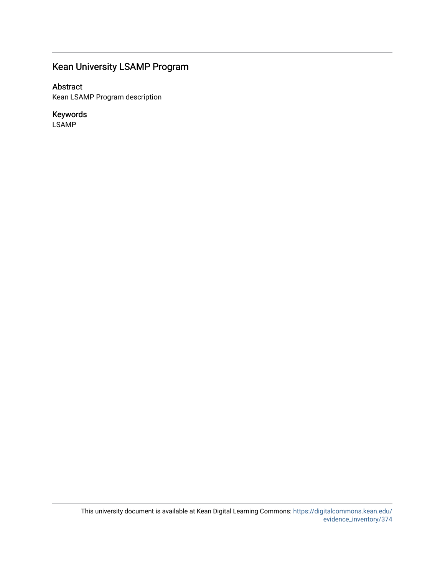## Kean University LSAMP Program

#### Abstract

Kean LSAMP Program description

#### Keywords

LSAMP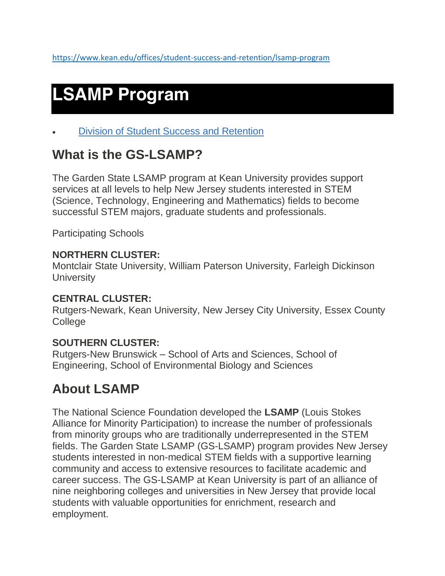# **LSAMP Program**

• [Division of Student Success and Retention](https://www.kean.edu/offices/student-success-and-retention)

## **What is the GS-LSAMP?**

The Garden State LSAMP program at Kean University provides support services at all levels to help New Jersey students interested in STEM (Science, Technology, Engineering and Mathematics) fields to become successful STEM majors, graduate students and professionals.

Participating Schools

## **NORTHERN CLUSTER:**

Montclair State University, William Paterson University, Farleigh Dickinson **University** 

## **CENTRAL CLUSTER:**

Rutgers-Newark, Kean University, New Jersey City University, Essex County **College** 

## **SOUTHERN CLUSTER:**

Rutgers-New Brunswick – School of Arts and Sciences, School of Engineering, School of Environmental Biology and Sciences

## **About LSAMP**

The National Science Foundation developed the **LSAMP** (Louis Stokes Alliance for Minority Participation) to increase the number of professionals from minority groups who are traditionally underrepresented in the STEM fields. The Garden State LSAMP (GS-LSAMP) program provides New Jersey students interested in non-medical STEM fields with a supportive learning community and access to extensive resources to facilitate academic and career success. The GS-LSAMP at Kean University is part of an alliance of nine neighboring colleges and universities in New Jersey that provide local students with valuable opportunities for enrichment, research and employment.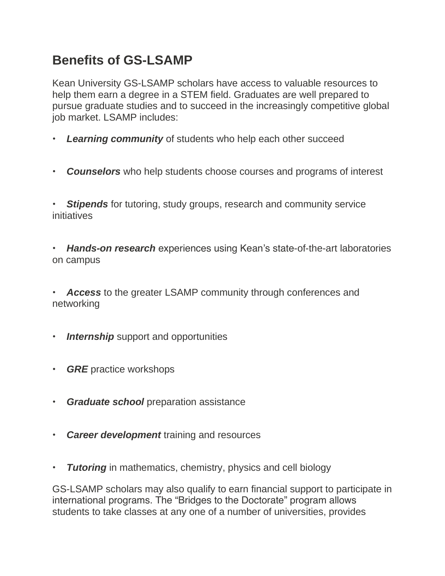# **Benefits of GS-LSAMP**

Kean University GS-LSAMP scholars have access to valuable resources to help them earn a degree in a STEM field. Graduates are well prepared to pursue graduate studies and to succeed in the increasingly competitive global job market. LSAMP includes:

- **Learning community** of students who help each other succeed
- *Counselors* who help students choose courses and programs of interest

**Stipends** for tutoring, study groups, research and community service initiatives

• *Hands-on research* experiences using Kean's state-of-the-art laboratories on campus

• *Access* to the greater LSAMP community through conferences and networking

- *Internship* support and opportunities
- *GRE* practice workshops
- *Graduate school* preparation assistance
- *Career development* training and resources
- *Tutoring* in mathematics, chemistry, physics and cell biology

GS-LSAMP scholars may also qualify to earn financial support to participate in international programs. The "Bridges to the Doctorate" program allows students to take classes at any one of a number of universities, provides